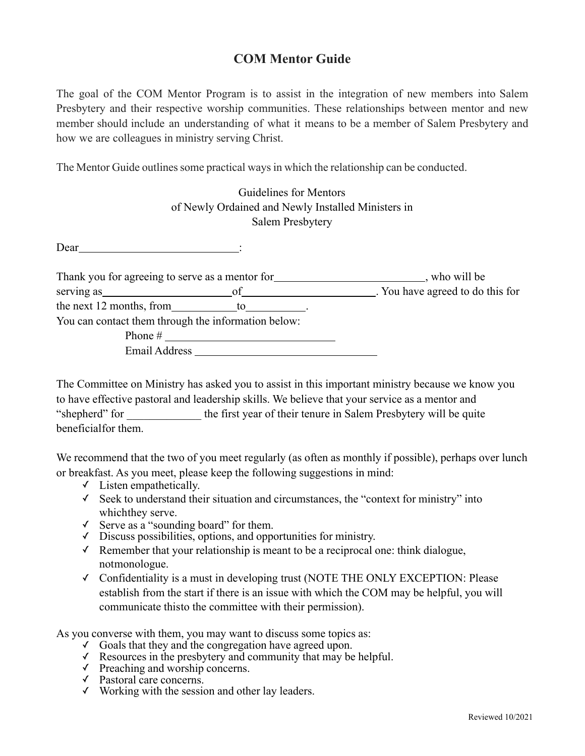## **COM Mentor Guide**

The goal of the COM Mentor Program is to assist in the integration of new members into Salem Presbytery and their respective worship communities. These relationships between mentor and new member should include an understanding of what it means to be a member of Salem Presbytery and how we are colleagues in ministry serving Christ.

The Mentor Guide outlines some practical ways in which the relationship can be conducted.

|                                                                 | Guidelines for Mentors                             |                                                                                         |
|-----------------------------------------------------------------|----------------------------------------------------|-----------------------------------------------------------------------------------------|
|                                                                 | of Newly Ordained and Newly Installed Ministers in |                                                                                         |
|                                                                 | Salem Presbytery                                   |                                                                                         |
| Dear<br><u> 1990 - Jan Stein Berlin, amerikan besteht in de</u> |                                                    |                                                                                         |
|                                                                 |                                                    | Thank you for agreeing to serve as a mentor for __________________________, who will be |
|                                                                 |                                                    |                                                                                         |
| the next 12 months, from $\qquad \qquad$ to                     |                                                    |                                                                                         |
| You can contact them through the information below:             |                                                    |                                                                                         |
|                                                                 |                                                    |                                                                                         |
| Email Address                                                   |                                                    |                                                                                         |

The Committee on Ministry has asked you to assist in this important ministry because we know you to have effective pastoral and leadership skills. We believe that your service as a mentor and "shepherd" for the first year of their tenure in Salem Presbytery will be quite beneficialfor them.

We recommend that the two of you meet regularly (as often as monthly if possible), perhaps over lunch or breakfast. As you meet, please keep the following suggestions in mind:

- $\checkmark$  Listen empathetically.
- ✓ Seek to understand their situation and circumstances, the "context for ministry" into whichthey serve.
- ✓ Serve as a "sounding board" for them.
- ✓ Discuss possibilities, options, and opportunities for ministry.
- ✓ Remember that your relationship is meant to be a reciprocal one: think dialogue, notmonologue.
- ✓ Confidentiality is a must in developing trust (NOTE THE ONLY EXCEPTION: Please establish from the start if there is an issue with which the COM may be helpful, you will communicate thisto the committee with their permission).

As you converse with them, you may want to discuss some topics as:

- ✓ Goals that they and the congregation have agreed upon.
- $\checkmark$  Resources in the presbytery and community that may be helpful.
- $\checkmark$  Preaching and worship concerns.
- ✓ Pastoral care concerns.
- $\checkmark$  Working with the session and other lay leaders.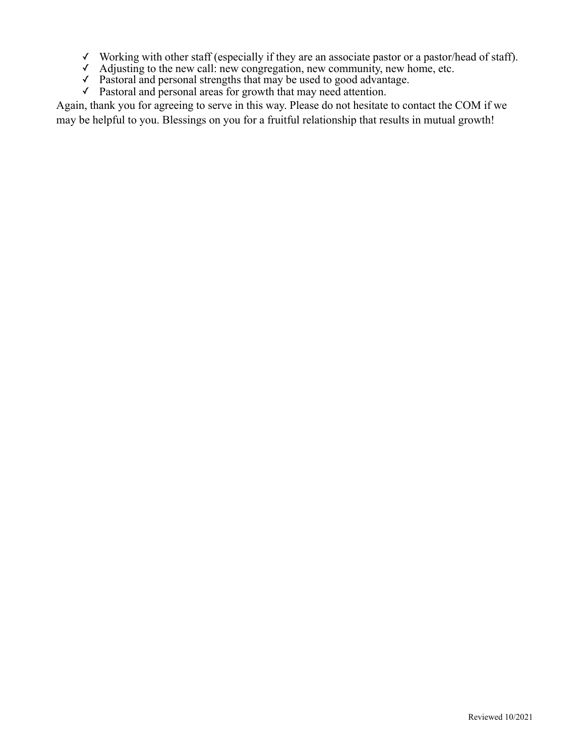- ✓ Working with other staff (especially if they are an associate pastor or a pastor/head of staff).
- ✓ Adjusting to the new call: new congregation, new community, new home, etc.
- ✓ Pastoral and personal strengths that may be used to good advantage.
- ✓ Pastoral and personal areas for growth that may need attention.

Again, thank you for agreeing to serve in this way. Please do not hesitate to contact the COM if we may be helpful to you. Blessings on you for a fruitful relationship that results in mutual growth!